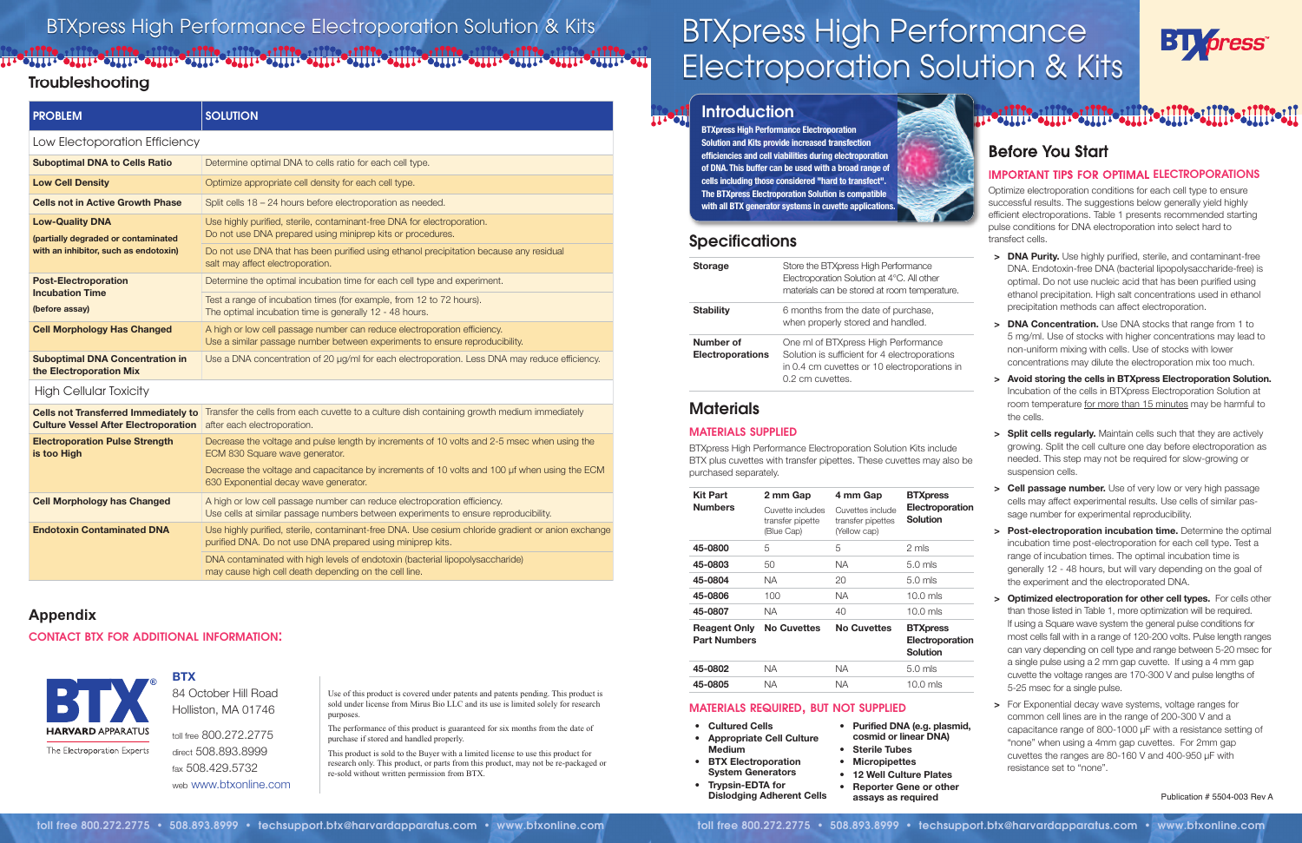# **Before You Start**

### **IMPORTANT TIPS FOR OPTIMAL ELECTROPORATIONS**

Optimize electroporation conditions for each cell type to ensure successful results. The suggestions below generally yield highly efficient electroporations. Table 1 presents recommended starting pulse conditions for DNA electroporation into select hard to transfect cells.

# **Troubleshooting**

- **> DNA Purity.** Use highly purified, sterile, and contaminant-free DNA. Endotoxin-free DNA (bacterial lipopolysaccharide-free) is optimal. Do not use nucleic acid that has been purified using ethanol precipitation. High salt concentrations used in ethanol precipitation methods can affect electroporation.
- **> DNA Concentration.** Use DNA stocks that range from 1 to 5 mg/ml. Use of stocks with higher concentrations may lead to non-uniform mixing with cells. Use of stocks with lower concentrations may dilute the electroporation mix too much.
- **> Avoid storing the cells in BTXpress Electroporation Solution.** Incubation of the cells in BTXpress Electroporation Solution at room temperature for more than 15 minutes may be harmful to the cells.
- **> Split cells regularly.** Maintain cells such that they are actively growing. Split the cell culture one day before electroporation as needed. This step may not be required for slow-growing or suspension cells.
- **> Cell passage number.** Use of very low or very high passage cells may affect experimental results. Use cells of similar passage number for experimental reproducibility.
- **> Post-electroporation incubation time.** Determine the optimal incubation time post-electroporation for each cell type. Test a range of incubation times. The optimal incubation time is generally 12 - 48 hours, but will vary depending on the goal of the experiment and the electroporated DNA.
- **> Optimized electroporation for other cell types.** For cells other than those listed in Table 1, more optimization will be required. If using a Square wave system the general pulse conditions for most cells fall with in a range of 120-200 volts. Pulse length ranges can vary depending on cell type and range between 5-20 msec for a single pulse using a 2 mm gap cuvette. If using a 4 mm gap cuvette the voltage ranges are 170-300 V and pulse lengths of 5-25 msec for a single pulse.
- **>** For Exponential decay wave systems, voltage ranges for common cell lines are in the range of 200-300 V and a capacitance range of 800-1000 µF with a resistance setting of "none" when using a 4mm gap cuvettes. For 2mm gap cuvettes the ranges are 80-160 V and 400-950 µF with resistance set to "none". **• Purified DNA (e.g. plasmid,**

| <b>PROBLEM</b>                                                                                         | <b>SOLUTION</b>                                                                                                                                                  |  |  |  |
|--------------------------------------------------------------------------------------------------------|------------------------------------------------------------------------------------------------------------------------------------------------------------------|--|--|--|
| Low Electoporation Efficiency                                                                          |                                                                                                                                                                  |  |  |  |
| <b>Suboptimal DNA to Cells Ratio</b>                                                                   | Determine optimal DNA to cells ratio for each cell type.                                                                                                         |  |  |  |
| <b>Low Cell Density</b>                                                                                | Optimize appropriate cell density for each cell type.                                                                                                            |  |  |  |
| <b>Cells not in Active Growth Phase</b>                                                                | Split cells 18 - 24 hours before electroporation as needed.                                                                                                      |  |  |  |
| <b>Low-Quality DNA</b><br>(partially degraded or contaminated<br>with an inhibitor, such as endotoxin) | Use highly purified, sterile, contaminant-free DNA for electroporation.<br>Do not use DNA prepared using miniprep kits or procedures.                            |  |  |  |
|                                                                                                        | Do not use DNA that has been purified using ethanol precipitation because any residual<br>salt may affect electroporation.                                       |  |  |  |
| <b>Post-Electroporation</b>                                                                            | Determine the optimal incubation time for each cell type and experiment.                                                                                         |  |  |  |
| <b>Incubation Time</b><br>(before assay)                                                               | Test a range of incubation times (for example, from 12 to 72 hours).<br>The optimal incubation time is generally 12 - 48 hours.                                  |  |  |  |
| <b>Cell Morphology Has Changed</b>                                                                     | A high or low cell passage number can reduce electroporation efficiency.<br>Use a similar passage number between experiments to ensure reproducibility.          |  |  |  |
| <b>Suboptimal DNA Concentration in</b><br>the Electroporation Mix                                      | Use a DNA concentration of 20 µg/ml for each electroporation. Less DNA may reduce efficiency.                                                                    |  |  |  |
| <b>High Cellular Toxicity</b>                                                                          |                                                                                                                                                                  |  |  |  |
| <b>Culture Vessel After Electroporation</b>                                                            | Cells not Transferred Immediately to Transfer the cells from each cuvette to a culture dish containing growth medium immediately<br>after each electroporation.  |  |  |  |
| <b>Electroporation Pulse Strength</b><br>is too High                                                   | Decrease the voltage and pulse length by increments of 10 volts and 2-5 msec when using the<br>ECM 830 Square wave generator.                                    |  |  |  |
|                                                                                                        | Decrease the voltage and capacitance by increments of 10 volts and 100 µf when using the ECM<br>630 Exponential decay wave generator.                            |  |  |  |
| <b>Cell Morphology has Changed</b>                                                                     | A high or low cell passage number can reduce electroporation efficiency.<br>Use cells at similar passage numbers between experiments to ensure reproducibility.  |  |  |  |
| <b>Endotoxin Contaminated DNA</b>                                                                      | Use highly purified, sterile, contaminant-free DNA. Use cesium chloride gradient or anion exchange<br>purified DNA. Do not use DNA prepared using miniprep kits. |  |  |  |
|                                                                                                        | DNA contaminated with high levels of endotoxin (bacterial lipopolysaccharide)<br>may cause high cell death depending on the cell line.                           |  |  |  |

- **• Cultured Cells**
- **• Appropriate Cell Culture Medium**
- **• BTX Electroporation System Generators**
- **• Trypsin-EDTA for**
	-
- **Dislodging Adherent Cells**
- **cosmid or linear DNA) • Sterile Tubes • Micropipettes**
- **• 12 Well Culture Plates • Reporter Gene or other**
- **assays as required**



Use of this product is covered under patents and patents pending. This product is sold under license from Mirus Bio LLC and its use is limited solely for research purposes.

The performance of this product is guaranteed for six months from the date of purchase if stored and handled properly.

This product is sold to the Buyer with a limited license to use this product for research only. This product, or parts from this product, may not be re-packaged or re-sold without written permission from BTX.

## **Specifications**

## **Materials**

### **MATERIALS SUPPLIED**

BTXpress High Performance Electroporation Solution Kits include BTX plus cuvettes with transfer pipettes. These cuvettes may also be purchased separately.

# **MATERIALS REQUIRED, BUT NOT SUPPLIED**

| <b>Kit Part</b>                            | 2 mm Gap                                           | 4 mm Gap                                              | <b>BTXpress</b><br>Electroporation<br>Solution        |  |
|--------------------------------------------|----------------------------------------------------|-------------------------------------------------------|-------------------------------------------------------|--|
| <b>Numbers</b>                             | Cuvette includes<br>transfer pipette<br>(Blue Cap) | Cuvettes include<br>transfer pipettes<br>(Yellow cap) |                                                       |  |
| 45-0800                                    | 5                                                  | 5                                                     | 2 mls                                                 |  |
| 45-0803                                    | 50                                                 | NA.                                                   | $5.0$ mls                                             |  |
| 45-0804                                    | <b>NA</b>                                          | 20                                                    | $5.0$ mls                                             |  |
| 45-0806                                    | 100                                                | NA.                                                   | $10.0$ mls                                            |  |
| 45-0807                                    | <b>NA</b>                                          | 40                                                    | $10.0$ mls                                            |  |
| <b>Reagent Only</b><br><b>Part Numbers</b> | <b>No Cuvettes</b>                                 | <b>No Cuvettes</b>                                    | <b>BTXpress</b><br>Electroporation<br><b>Solution</b> |  |
| 45-0802                                    | NA                                                 | ΝA                                                    | $5.0$ mls                                             |  |

**45-0805** NA NA 10.0 mls

| <b>Storage</b>                       | Store the BTXpress High Performance<br>Electroporation Solution at 4°C. All other<br>materials can be stored at room temperature.                        |
|--------------------------------------|----------------------------------------------------------------------------------------------------------------------------------------------------------|
| <b>Stability</b>                     | 6 months from the date of purchase,<br>when properly stored and handled.                                                                                 |
| Number of<br><b>Electroporations</b> | One ml of BTXpress High Performance<br>Solution is sufficient for 4 electroporations<br>in 0.4 cm cuvettes or 10 electroporations in<br>0.2 cm cuvettes. |

# BTXpress High Performance Electroporation Solution & Kits

# 

## **Appendix**

### **CONTACT BTX FOR ADDITIONAL INFORMATION:**



**BTX**

84 October Hill Road Holliston, MA 01746

toll free 800.272.2775 direct 508.893.8999 fax 508.429.5732 web www.btxonline.com

# BTXpress High Performance Electroporation Solution & Kits



**THE SHI** 

**BTXpress High Performance Electroporation Solution and Kits provide increased transfection efficiencies and cell viabilities during electroporation of DNA. This buffer can be used with a broad range of cells including those considered "hard to transfect". The BTXpress Electroporation Solution is compatible with all BTX generator systems in cuvette applications.**

Publication # 5504-003 Rev A